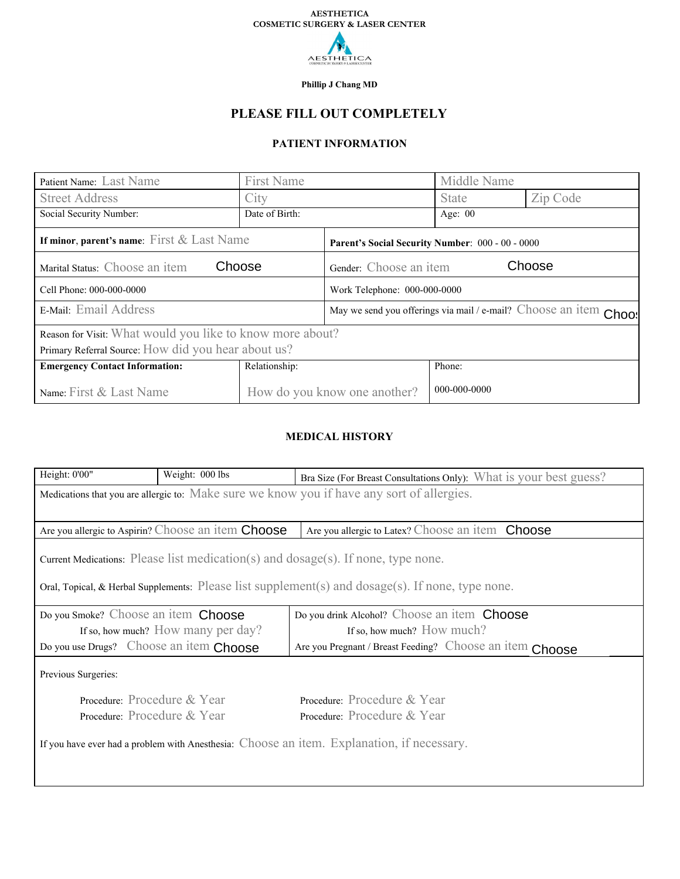

**Phillip J Chang MD**

# **PLEASE FILL OUT COMPLETELY**

# **PATIENT INFORMATION**

| Patient Name: Last Name                                   | <b>First Name</b>            |                                                                   | Middle Name  |          |
|-----------------------------------------------------------|------------------------------|-------------------------------------------------------------------|--------------|----------|
| <b>Street Address</b>                                     | City                         |                                                                   | <b>State</b> | Zip Code |
| Social Security Number:                                   | Date of Birth:               |                                                                   | Age: $00$    |          |
| If minor, parent's name: First $&$ Last Name              |                              | Parent's Social Security Number: 000 - 00 - 0000                  |              |          |
| Choose<br>Marital Status: Choose an item                  |                              | Choose<br>Gender: Choose an item                                  |              |          |
| Cell Phone: 000-000-0000                                  |                              | Work Telephone: 000-000-0000                                      |              |          |
| E-Mail: Email Address                                     |                              | May we send you offerings via mail / e-mail? Choose an item Chd - |              |          |
| Reason for Visit: What would you like to know more about? |                              |                                                                   |              |          |
| Primary Referral Source: How did you hear about us?       |                              |                                                                   |              |          |
| <b>Emergency Contact Information:</b>                     | Relationship:                |                                                                   | Phone:       |          |
| Name: First & Last Name                                   | How do you know one another? |                                                                   | 000-000-0000 |          |

# **MEDICAL HISTORY**

| Height: 0'00"                                                                                                                 | Weight: 000 lbs | Bra Size (For Breast Consultations Only): What is your best guess? |  |  |
|-------------------------------------------------------------------------------------------------------------------------------|-----------------|--------------------------------------------------------------------|--|--|
| Medications that you are allergic to: Make sure we know you if have any sort of allergies.                                    |                 |                                                                    |  |  |
|                                                                                                                               |                 |                                                                    |  |  |
| Are you allergic to Aspirin? Choose an item Choose   are you allergic to Latex? Choose an item Choose<br>$\blacktriangledown$ |                 |                                                                    |  |  |
| Current Medications: Please list medication(s) and dosage(s). If none, type none.                                             |                 |                                                                    |  |  |
| Oral, Topical, & Herbal Supplements: Please list supplement(s) and $\text{dosage}(s)$ . If none, type none.                   |                 |                                                                    |  |  |
| $\vert \vert$<br>Do you Smoke? Choose an item <b>Choose</b><br>Do you drink Alcohol? Choose an item Choose                    |                 |                                                                    |  |  |
| If so, how much? How many per day?                                                                                            |                 | If so, how much? How much?                                         |  |  |
| Do you use Drugs? Choose an item Choose                                                                                       |                 | Are you Pregnant / Breast Feeding? Choose an item Choose           |  |  |
| Previous Surgeries:                                                                                                           |                 |                                                                    |  |  |
| Procedure: Procedure & Year                                                                                                   |                 | Procedure: Procedure & Year                                        |  |  |
| Procedure: Procedure & Year                                                                                                   |                 | Procedure: Procedure & Year                                        |  |  |
| If you have ever had a problem with Anesthesia: Choose an item. Explanation, if necessary.                                    |                 |                                                                    |  |  |